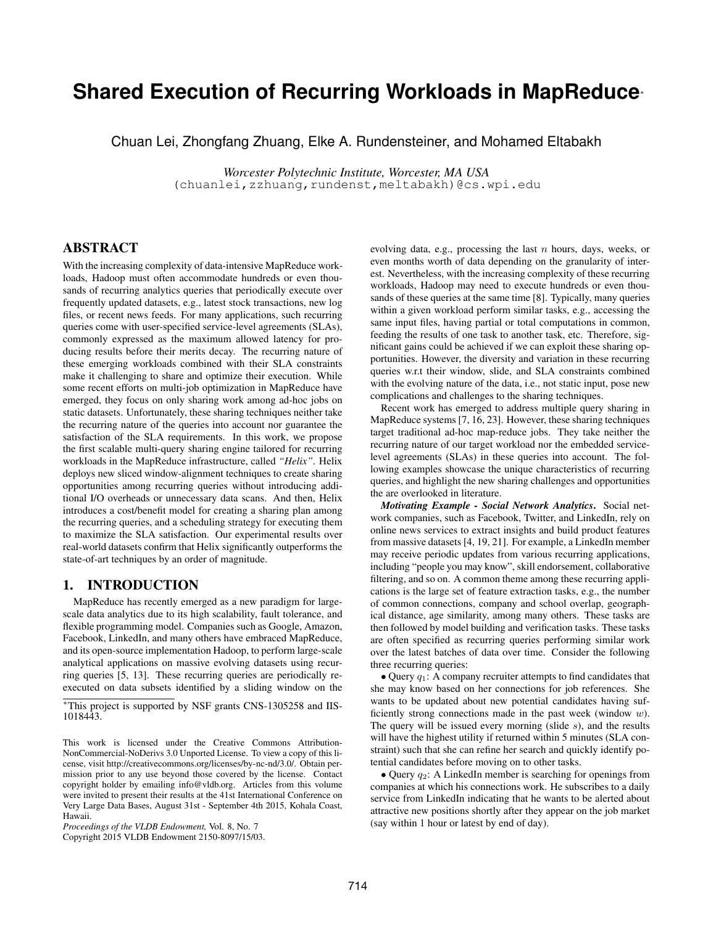# **Shared Execution of Recurring Workloads in MapReduce**<sup>∗</sup>

Chuan Lei, Zhongfang Zhuang, Elke A. Rundensteiner, and Mohamed Eltabakh

*Worcester Polytechnic Institute, Worcester, MA USA* (chuanlei,zzhuang,rundenst,meltabakh)@cs.wpi.edu

# ABSTRACT

With the increasing complexity of data-intensive MapReduce workloads, Hadoop must often accommodate hundreds or even thousands of recurring analytics queries that periodically execute over frequently updated datasets, e.g., latest stock transactions, new log files, or recent news feeds. For many applications, such recurring queries come with user-specified service-level agreements (SLAs), commonly expressed as the maximum allowed latency for producing results before their merits decay. The recurring nature of these emerging workloads combined with their SLA constraints make it challenging to share and optimize their execution. While some recent efforts on multi-job optimization in MapReduce have emerged, they focus on only sharing work among ad-hoc jobs on static datasets. Unfortunately, these sharing techniques neither take the recurring nature of the queries into account nor guarantee the satisfaction of the SLA requirements. In this work, we propose the first scalable multi-query sharing engine tailored for recurring workloads in the MapReduce infrastructure, called *"Helix"*. Helix deploys new sliced window-alignment techniques to create sharing opportunities among recurring queries without introducing additional I/O overheads or unnecessary data scans. And then, Helix introduces a cost/benefit model for creating a sharing plan among the recurring queries, and a scheduling strategy for executing them to maximize the SLA satisfaction. Our experimental results over real-world datasets confirm that Helix significantly outperforms the state-of-art techniques by an order of magnitude.

## 1. INTRODUCTION

MapReduce has recently emerged as a new paradigm for largescale data analytics due to its high scalability, fault tolerance, and flexible programming model. Companies such as Google, Amazon, Facebook, LinkedIn, and many others have embraced MapReduce, and its open-source implementation Hadoop, to perform large-scale analytical applications on massive evolving datasets using recurring queries [5, 13]. These recurring queries are periodically reexecuted on data subsets identified by a sliding window on the

Copyright 2015 VLDB Endowment 2150-8097/15/03.

evolving data, e.g., processing the last  $n$  hours, days, weeks, or even months worth of data depending on the granularity of interest. Nevertheless, with the increasing complexity of these recurring workloads, Hadoop may need to execute hundreds or even thousands of these queries at the same time [8]. Typically, many queries within a given workload perform similar tasks, e.g., accessing the same input files, having partial or total computations in common, feeding the results of one task to another task, etc. Therefore, significant gains could be achieved if we can exploit these sharing opportunities. However, the diversity and variation in these recurring queries w.r.t their window, slide, and SLA constraints combined with the evolving nature of the data, i.e., not static input, pose new complications and challenges to the sharing techniques.

Recent work has emerged to address multiple query sharing in MapReduce systems [7, 16, 23]. However, these sharing techniques target traditional ad-hoc map-reduce jobs. They take neither the recurring nature of our target workload nor the embedded servicelevel agreements (SLAs) in these queries into account. The following examples showcase the unique characteristics of recurring queries, and highlight the new sharing challenges and opportunities the are overlooked in literature.

*Motivating Example - Social Network Analytics*. Social network companies, such as Facebook, Twitter, and LinkedIn, rely on online news services to extract insights and build product features from massive datasets [4, 19, 21]. For example, a LinkedIn member may receive periodic updates from various recurring applications, including "people you may know", skill endorsement, collaborative filtering, and so on. A common theme among these recurring applications is the large set of feature extraction tasks, e.g., the number of common connections, company and school overlap, geographical distance, age similarity, among many others. These tasks are then followed by model building and verification tasks. These tasks are often specified as recurring queries performing similar work over the latest batches of data over time. Consider the following three recurring queries:

• Query  $q_1$ : A company recruiter attempts to find candidates that she may know based on her connections for job references. She wants to be updated about new potential candidates having sufficiently strong connections made in the past week (window w). The query will be issued every morning (slide  $s$ ), and the results will have the highest utility if returned within 5 minutes (SLA constraint) such that she can refine her search and quickly identify potential candidates before moving on to other tasks.

• Query  $q_2$ : A LinkedIn member is searching for openings from companies at which his connections work. He subscribes to a daily service from LinkedIn indicating that he wants to be alerted about attractive new positions shortly after they appear on the job market (say within 1 hour or latest by end of day).

<sup>∗</sup>This project is supported by NSF grants CNS-1305258 and IIS-1018443.

This work is licensed under the Creative Commons Attribution-NonCommercial-NoDerivs 3.0 Unported License. To view a copy of this license, visit http://creativecommons.org/licenses/by-nc-nd/3.0/. Obtain permission prior to any use beyond those covered by the license. Contact copyright holder by emailing info@vldb.org. Articles from this volume were invited to present their results at the 41st International Conference on Very Large Data Bases, August 31st - September 4th 2015, Kohala Coast, Hawaii.

*Proceedings of the VLDB Endowment,* Vol. 8, No. 7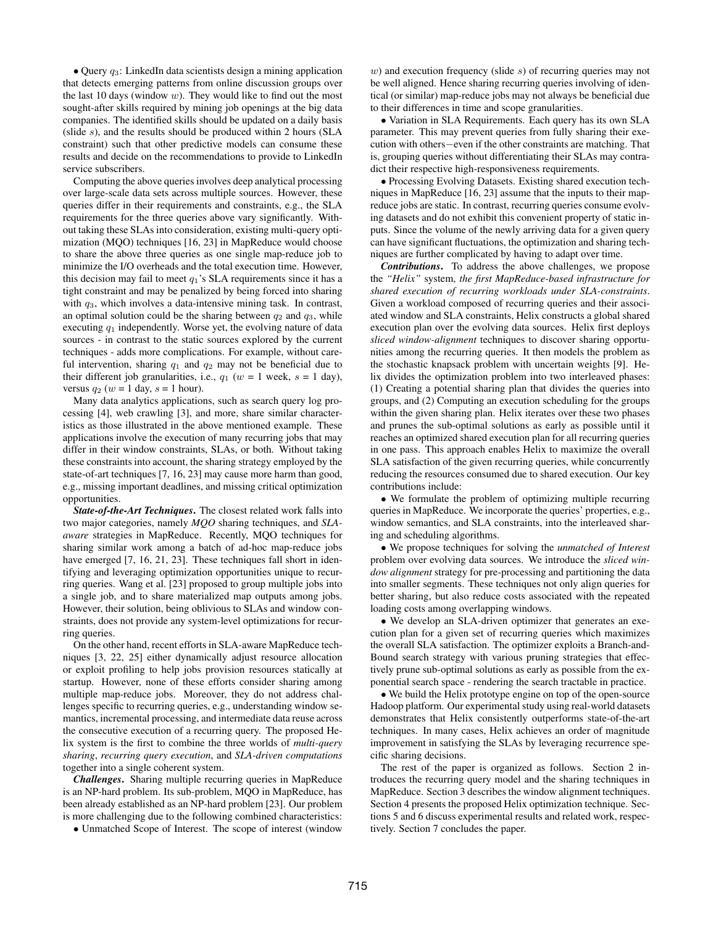• Query  $q_3$ : LinkedIn data scientists design a mining application that detects emerging patterns from online discussion groups over the last 10 days (window  $w$ ). They would like to find out the most sought-after skills required by mining job openings at the big data companies. The identified skills should be updated on a daily basis (slide s), and the results should be produced within 2 hours (SLA constraint) such that other predictive models can consume these results and decide on the recommendations to provide to LinkedIn service subscribers.

Computing the above queries involves deep analytical processing over large-scale data sets across multiple sources. However, these queries differ in their requirements and constraints, e.g., the SLA requirements for the three queries above vary significantly. Without taking these SLAs into consideration, existing multi-query optimization (MQO) techniques [16, 23] in MapReduce would choose to share the above three queries as one single map-reduce job to minimize the I/O overheads and the total execution time. However, this decision may fail to meet  $q_1$ 's SLA requirements since it has a tight constraint and may be penalized by being forced into sharing with  $q_3$ , which involves a data-intensive mining task. In contrast, an optimal solution could be the sharing between  $q_2$  and  $q_3$ , while executing  $q_1$  independently. Worse yet, the evolving nature of data sources - in contrast to the static sources explored by the current techniques - adds more complications. For example, without careful intervention, sharing  $q_1$  and  $q_2$  may not be beneficial due to their different job granularities, i.e.,  $q_1$  ( $w = 1$  week,  $s = 1$  day), versus  $q_2$  (w = 1 day, s = 1 hour).

Many data analytics applications, such as search query log processing [4], web crawling [3], and more, share similar characteristics as those illustrated in the above mentioned example. These applications involve the execution of many recurring jobs that may differ in their window constraints, SLAs, or both. Without taking these constraints into account, the sharing strategy employed by the state-of-art techniques [7, 16, 23] may cause more harm than good, e.g., missing important deadlines, and missing critical optimization opportunities.

*State-of-the-Art Techniques*. The closest related work falls into two major categories, namely *MQO* sharing techniques, and *SLAaware* strategies in MapReduce. Recently, MQO techniques for sharing similar work among a batch of ad-hoc map-reduce jobs have emerged [7, 16, 21, 23]. These techniques fall short in identifying and leveraging optimization opportunities unique to recurring queries. Wang et al. [23] proposed to group multiple jobs into a single job, and to share materialized map outputs among jobs. However, their solution, being oblivious to SLAs and window constraints, does not provide any system-level optimizations for recurring queries.

On the other hand, recent efforts in SLA-aware MapReduce techniques [3, 22, 25] either dynamically adjust resource allocation or exploit profiling to help jobs provision resources statically at startup. However, none of these efforts consider sharing among multiple map-reduce jobs. Moreover, they do not address challenges specific to recurring queries, e.g., understanding window semantics, incremental processing, and intermediate data reuse across the consecutive execution of a recurring query. The proposed Helix system is the first to combine the three worlds of *multi-query sharing*, *recurring query execution*, and *SLA-driven computations* together into a single coherent system.

*Challenges*. Sharing multiple recurring queries in MapReduce is an NP-hard problem. Its sub-problem, MQO in MapReduce, has been already established as an NP-hard problem [23]. Our problem is more challenging due to the following combined characteristics:

• Unmatched Scope of Interest. The scope of interest (window

 $w$ ) and execution frequency (slide s) of recurring queries may not be well aligned. Hence sharing recurring queries involving of identical (or similar) map-reduce jobs may not always be beneficial due to their differences in time and scope granularities.

• Variation in SLA Requirements. Each query has its own SLA parameter. This may prevent queries from fully sharing their execution with others−even if the other constraints are matching. That is, grouping queries without differentiating their SLAs may contradict their respective high-responsiveness requirements.

• Processing Evolving Datasets. Existing shared execution techniques in MapReduce [16, 23] assume that the inputs to their mapreduce jobs are static. In contrast, recurring queries consume evolving datasets and do not exhibit this convenient property of static inputs. Since the volume of the newly arriving data for a given query can have significant fluctuations, the optimization and sharing techniques are further complicated by having to adapt over time.

*Contributions*. To address the above challenges, we propose the *"Helix"* system, *the first MapReduce-based infrastructure for shared execution of recurring workloads under SLA-constraints*. Given a workload composed of recurring queries and their associated window and SLA constraints, Helix constructs a global shared execution plan over the evolving data sources. Helix first deploys *sliced window-alignment* techniques to discover sharing opportunities among the recurring queries. It then models the problem as the stochastic knapsack problem with uncertain weights [9]. Helix divides the optimization problem into two interleaved phases: (1) Creating a potential sharing plan that divides the queries into groups, and (2) Computing an execution scheduling for the groups within the given sharing plan. Helix iterates over these two phases and prunes the sub-optimal solutions as early as possible until it reaches an optimized shared execution plan for all recurring queries in one pass. This approach enables Helix to maximize the overall SLA satisfaction of the given recurring queries, while concurrently reducing the resources consumed due to shared execution. Our key contributions include:

• We formulate the problem of optimizing multiple recurring queries in MapReduce. We incorporate the queries' properties, e.g., window semantics, and SLA constraints, into the interleaved sharing and scheduling algorithms.

• We propose techniques for solving the *unmatched of Interest* problem over evolving data sources. We introduce the *sliced window alignment* strategy for pre-processing and partitioning the data into smaller segments. These techniques not only align queries for better sharing, but also reduce costs associated with the repeated loading costs among overlapping windows.

• We develop an SLA-driven optimizer that generates an execution plan for a given set of recurring queries which maximizes the overall SLA satisfaction. The optimizer exploits a Branch-and-Bound search strategy with various pruning strategies that effectively prune sub-optimal solutions as early as possible from the exponential search space - rendering the search tractable in practice.

• We build the Helix prototype engine on top of the open-source Hadoop platform. Our experimental study using real-world datasets demonstrates that Helix consistently outperforms state-of-the-art techniques. In many cases, Helix achieves an order of magnitude improvement in satisfying the SLAs by leveraging recurrence specific sharing decisions.

The rest of the paper is organized as follows. Section 2 introduces the recurring query model and the sharing techniques in MapReduce. Section 3 describes the window alignment techniques. Section 4 presents the proposed Helix optimization technique. Sections 5 and 6 discuss experimental results and related work, respectively. Section 7 concludes the paper.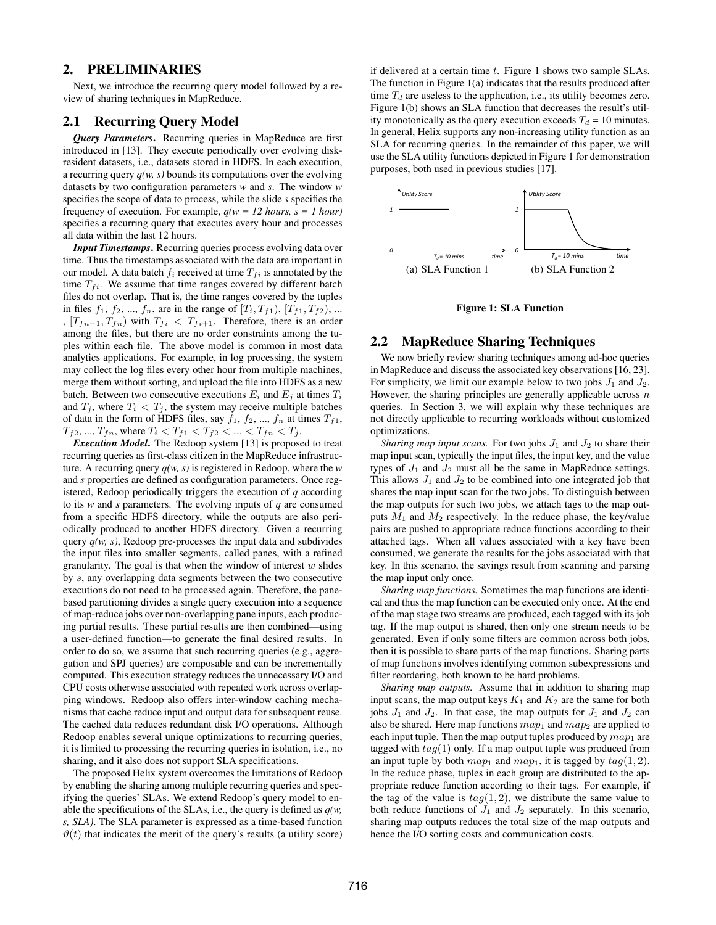## 2. PRELIMINARIES

Next, we introduce the recurring query model followed by a review of sharing techniques in MapReduce.

## 2.1 Recurring Query Model

*Query Parameters*. Recurring queries in MapReduce are first introduced in [13]. They execute periodically over evolving diskresident datasets, i.e., datasets stored in HDFS. In each execution, a recurring query *q(w, s)* bounds its computations over the evolving datasets by two configuration parameters *w* and *s*. The window *w* specifies the scope of data to process, while the slide *s* specifies the frequency of execution. For example, *q(w = 12 hours, s = 1 hour)* specifies a recurring query that executes every hour and processes all data within the last 12 hours.

*Input Timestamps*. Recurring queries process evolving data over time. Thus the timestamps associated with the data are important in our model. A data batch  $f_i$  received at time  $T_{fi}$  is annotated by the time  $T_{fi}$ . We assume that time ranges covered by different batch files do not overlap. That is, the time ranges covered by the tuples in files  $f_1, f_2, ..., f_n$ , are in the range of  $[T_i, T_{f1}), [T_{f1}, T_{f2}), ...$ ,  $[T_{fn-1}, T_{fn})$  with  $T_{fi} < T_{fi+1}$ . Therefore, there is an order among the files, but there are no order constraints among the tuples within each file. The above model is common in most data analytics applications. For example, in log processing, the system may collect the log files every other hour from multiple machines, merge them without sorting, and upload the file into HDFS as a new batch. Between two consecutive executions  $E_i$  and  $E_j$  at times  $T_i$ and  $T_i$ , where  $T_i < T_j$ , the system may receive multiple batches of data in the form of HDFS files, say  $f_1$ ,  $f_2$ , ...,  $f_n$  at times  $T_{f1}$ ,  $T_{f2}$ , ...,  $T_{fn}$ , where  $T_i < T_{f1} < T_{f2} < ... < T_{fn} < T_j$ .

*Execution Model*. The Redoop system [13] is proposed to treat recurring queries as first-class citizen in the MapReduce infrastructure. A recurring query *q(w, s)* is registered in Redoop, where the *w* and *s* properties are defined as configuration parameters. Once registered, Redoop periodically triggers the execution of *q* according to its *w* and *s* parameters. The evolving inputs of *q* are consumed from a specific HDFS directory, while the outputs are also periodically produced to another HDFS directory. Given a recurring query *q(w, s)*, Redoop pre-processes the input data and subdivides the input files into smaller segments, called panes, with a refined granularity. The goal is that when the window of interest  $w$  slides by s, any overlapping data segments between the two consecutive executions do not need to be processed again. Therefore, the panebased partitioning divides a single query execution into a sequence of map-reduce jobs over non-overlapping pane inputs, each producing partial results. These partial results are then combined—using a user-defined function—to generate the final desired results. In order to do so, we assume that such recurring queries (e.g., aggregation and SPJ queries) are composable and can be incrementally computed. This execution strategy reduces the unnecessary I/O and CPU costs otherwise associated with repeated work across overlapping windows. Redoop also offers inter-window caching mechanisms that cache reduce input and output data for subsequent reuse. The cached data reduces redundant disk I/O operations. Although Redoop enables several unique optimizations to recurring queries, it is limited to processing the recurring queries in isolation, i.e., no sharing, and it also does not support SLA specifications.

The proposed Helix system overcomes the limitations of Redoop by enabling the sharing among multiple recurring queries and specifying the queries' SLAs. We extend Redoop's query model to enable the specifications of the SLAs, i.e., the query is defined as *q(w, s, SLA)*. The SLA parameter is expressed as a time-based function  $\vartheta(t)$  that indicates the merit of the query's results (a utility score) if delivered at a certain time  $t$ . Figure 1 shows two sample SLAs. The function in Figure 1(a) indicates that the results produced after time  $T_d$  are useless to the application, i.e., its utility becomes zero. Figure 1(b) shows an SLA function that decreases the result's utility monotonically as the query execution exceeds  $T_d = 10$  minutes. In general, Helix supports any non-increasing utility function as an SLA for recurring queries. In the remainder of this paper, we will use the SLA utility functions depicted in Figure 1 for demonstration purposes, both used in previous studies [17].



Figure 1: SLA Function

#### 2.2 MapReduce Sharing Techniques

We now briefly review sharing techniques among ad-hoc queries in MapReduce and discuss the associated key observations [16, 23]. For simplicity, we limit our example below to two jobs  $J_1$  and  $J_2$ . However, the sharing principles are generally applicable across  $n$ queries. In Section 3, we will explain why these techniques are not directly applicable to recurring workloads without customized optimizations.

*Sharing map input scans.* For two jobs  $J_1$  and  $J_2$  to share their map input scan, typically the input files, the input key, and the value types of  $J_1$  and  $J_2$  must all be the same in MapReduce settings. This allows  $J_1$  and  $J_2$  to be combined into one integrated job that shares the map input scan for the two jobs. To distinguish between the map outputs for such two jobs, we attach tags to the map outputs  $M_1$  and  $M_2$  respectively. In the reduce phase, the key/value pairs are pushed to appropriate reduce functions according to their attached tags. When all values associated with a key have been consumed, we generate the results for the jobs associated with that key. In this scenario, the savings result from scanning and parsing the map input only once.

*Sharing map functions.* Sometimes the map functions are identical and thus the map function can be executed only once. At the end of the map stage two streams are produced, each tagged with its job tag. If the map output is shared, then only one stream needs to be generated. Even if only some filters are common across both jobs, then it is possible to share parts of the map functions. Sharing parts of map functions involves identifying common subexpressions and filter reordering, both known to be hard problems.

*Sharing map outputs.* Assume that in addition to sharing map input scans, the map output keys  $K_1$  and  $K_2$  are the same for both jobs  $J_1$  and  $J_2$ . In that case, the map outputs for  $J_1$  and  $J_2$  can also be shared. Here map functions  $map_1$  and  $map_2$  are applied to each input tuple. Then the map output tuples produced by  $map_1$  are tagged with  $taq(1)$  only. If a map output tuple was produced from an input tuple by both  $map_1$  and  $map_1$ , it is tagged by  $tag(1, 2)$ . In the reduce phase, tuples in each group are distributed to the appropriate reduce function according to their tags. For example, if the tag of the value is  $tag(1, 2)$ , we distribute the same value to both reduce functions of  $J_1$  and  $J_2$  separately. In this scenario, sharing map outputs reduces the total size of the map outputs and hence the I/O sorting costs and communication costs.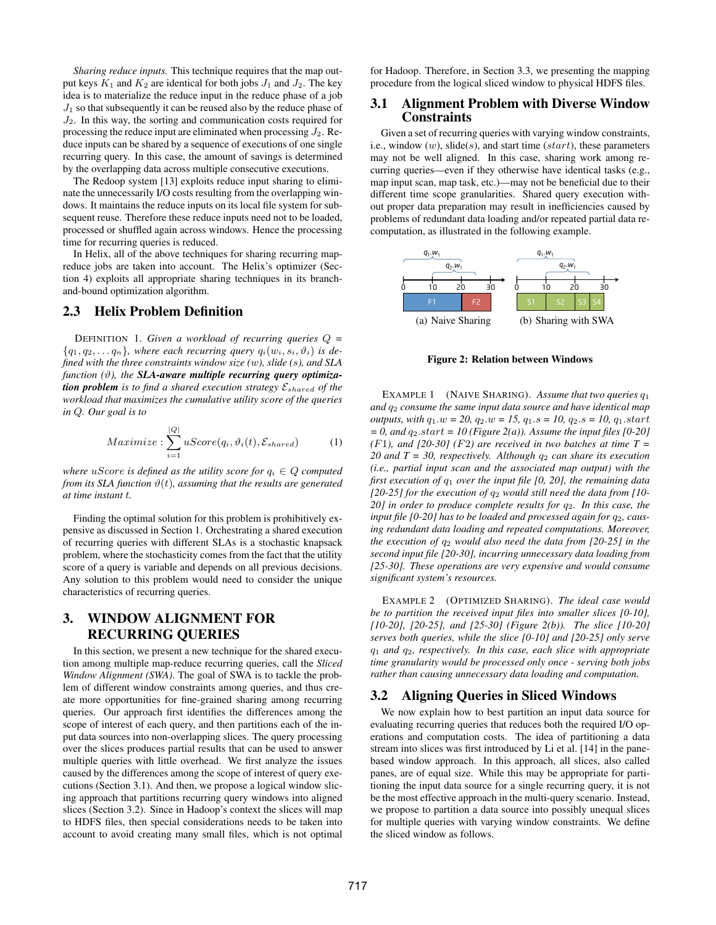*Sharing reduce inputs.* This technique requires that the map output keys  $K_1$  and  $K_2$  are identical for both jobs  $J_1$  and  $J_2$ . The key idea is to materialize the reduce input in the reduce phase of a job  $J_1$  so that subsequently it can be reused also by the reduce phase of  $J_2$ . In this way, the sorting and communication costs required for processing the reduce input are eliminated when processing  $J_2$ . Reduce inputs can be shared by a sequence of executions of one single recurring query. In this case, the amount of savings is determined by the overlapping data across multiple consecutive executions.

The Redoop system [13] exploits reduce input sharing to eliminate the unnecessarily I/O costs resulting from the overlapping windows. It maintains the reduce inputs on its local file system for subsequent reuse. Therefore these reduce inputs need not to be loaded, processed or shuffled again across windows. Hence the processing time for recurring queries is reduced.

In Helix, all of the above techniques for sharing recurring mapreduce jobs are taken into account. The Helix's optimizer (Section 4) exploits all appropriate sharing techniques in its branchand-bound optimization algorithm.

## 2.3 Helix Problem Definition

DEFINITION 1. *Given a workload of recurring queries* Q *=*  ${q_1, q_2, \ldots q_n}$ , where each recurring query  $q_i(w_i, s_i, \vartheta_i)$  is de*fined with the three constraints window size (*w*), slide (*s*), and SLA function (*ϑ*), the SLA-aware multiple recurring query optimization problem* is to find a shared execution strategy  $\mathcal{E}_{shared}$  of the *workload that maximizes the cumulative utility score of the queries in* Q*. Our goal is to*

$$
Maximize: \sum_{i=1}^{|Q|} uScore(q_i, \vartheta_i(t), \mathcal{E}_{shared})
$$
 (1)

*where* uScore *is defined as the utility score for*  $q_i \in Q$  *computed from its SLA function*  $\vartheta(t)$ *, assuming that the results are generated at time instant* t*.*

Finding the optimal solution for this problem is prohibitively expensive as discussed in Section 1. Orchestrating a shared execution of recurring queries with different SLAs is a stochastic knapsack problem, where the stochasticity comes from the fact that the utility score of a query is variable and depends on all previous decisions. Any solution to this problem would need to consider the unique characteristics of recurring queries.

# 3. WINDOW ALIGNMENT FOR RECURRING QUERIES

In this section, we present a new technique for the shared execution among multiple map-reduce recurring queries, call the *Sliced Window Alignment (SWA)*. The goal of SWA is to tackle the problem of different window constraints among queries, and thus create more opportunities for fine-grained sharing among recurring queries. Our approach first identifies the differences among the scope of interest of each query, and then partitions each of the input data sources into non-overlapping slices. The query processing over the slices produces partial results that can be used to answer multiple queries with little overhead. We first analyze the issues caused by the differences among the scope of interest of query executions (Section 3.1). And then, we propose a logical window slicing approach that partitions recurring query windows into aligned slices (Section 3.2). Since in Hadoop's context the slices will map to HDFS files, then special considerations needs to be taken into account to avoid creating many small files, which is not optimal

for Hadoop. Therefore, in Section 3.3, we presenting the mapping procedure from the logical sliced window to physical HDFS files.

## 3.1 Alignment Problem with Diverse Window **Constraints**

Given a set of recurring queries with varying window constraints, i.e., window  $(w)$ , slide(s), and start time (start), these parameters may not be well aligned. In this case, sharing work among recurring queries—even if they otherwise have identical tasks (e.g., map input scan, map task, etc.)—may not be beneficial due to their different time scope granularities. Shared query execution without proper data preparation may result in inefficiencies caused by problems of redundant data loading and/or repeated partial data recomputation, as illustrated in the following example.



Figure 2: Relation between Windows

EXAMPLE 1 (NAIVE SHARING). Assume that two queries  $q_1$ *and* q<sup>2</sup> *consume the same input data source and have identical map outputs, with*  $q_1.w = 20$ ,  $q_2.w = 15$ ,  $q_1.s = 10$ ,  $q_2.s = 10$ ,  $q_1.start$  $= 0$ , and  $q_2.start = 10$  (Figure 2(a)). Assume the input files [0-20] *(*F1*), and [20-30] (*F2*) are received in two batches at time T =* 20 and  $T = 30$ , respectively. Although  $q_2$  can share its execution *(i.e., partial input scan and the associated map output) with the first execution of* q<sup>1</sup> *over the input file [0, 20], the remaining data [20-25] for the execution of* q<sup>2</sup> *would still need the data from [10- 20] in order to produce complete results for* q2*. In this case, the input file [0-20] has to be loaded and processed again for*  $q_2$ *, causing redundant data loading and repeated computations. Moreover, the execution of*  $q_2$  *would also need the data from [20-25] in the second input file [20-30], incurring unnecessary data loading from [25-30]. These operations are very expensive and would consume significant system's resources.*

EXAMPLE 2 (OPTIMIZED SHARING). *The ideal case would be to partition the received input files into smaller slices [0-10], [10-20], [20-25], and [25-30] (Figure 2(b)). The slice [10-20] serves both queries, while the slice [0-10] and [20-25] only serve* q<sup>1</sup> *and* q2*, respectively. In this case, each slice with appropriate time granularity would be processed only once - serving both jobs rather than causing unnecessary data loading and computation.*

# 3.2 Aligning Queries in Sliced Windows

We now explain how to best partition an input data source for evaluating recurring queries that reduces both the required I/O operations and computation costs. The idea of partitioning a data stream into slices was first introduced by Li et al. [14] in the panebased window approach. In this approach, all slices, also called panes, are of equal size. While this may be appropriate for partitioning the input data source for a single recurring query, it is not be the most effective approach in the multi-query scenario. Instead, we propose to partition a data source into possibly unequal slices for multiple queries with varying window constraints. We define the sliced window as follows.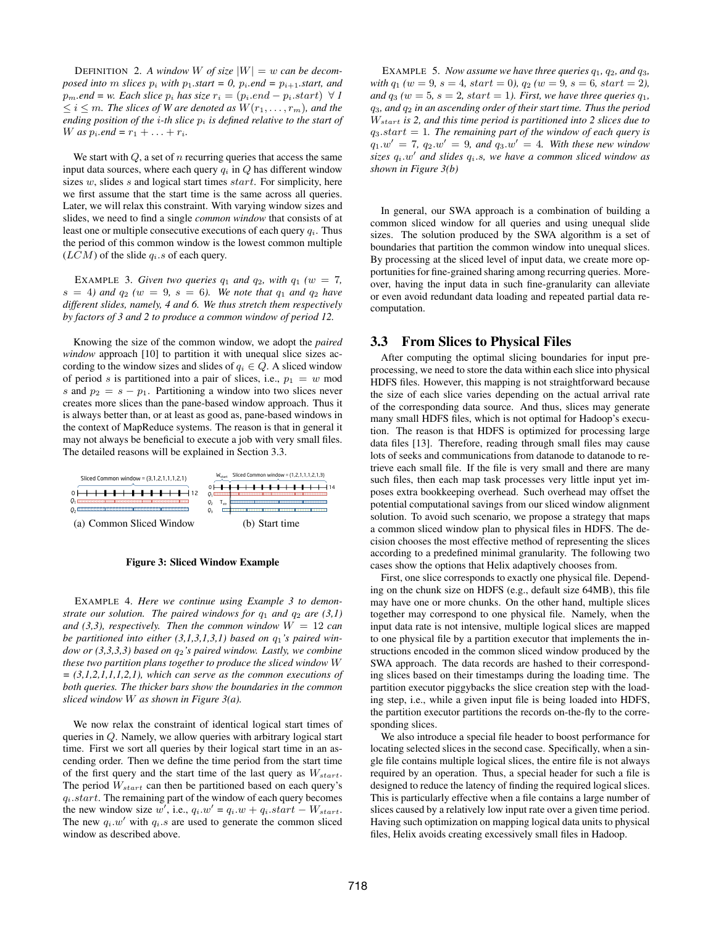DEFINITION 2. A window W of size  $|W| = w$  can be decom*posed into* m *slices*  $p_i$  *with*  $p_1$  *start* = 0,  $p_i$  *end* =  $p_{i+1}$  *start, and*  $p_m$ *end* = w. Each slice  $p_i$  has size  $r_i = (p_i$ *end* –  $p_i$ *start*)  $\forall$  *I*  $1 \leq i \leq m$ . The slices of W are denoted as  $W(r_1, \ldots, r_m)$ , and the *ending position of the i-th slice*  $p_i$  *is defined relative to the start of W* as  $p_i$ *.end* =  $r_1 + ... + r_i$ *.* 

We start with  $Q$ , a set of n recurring queries that access the same input data sources, where each query  $q_i$  in  $Q$  has different window sizes  $w$ , slides  $s$  and logical start times  $start$ . For simplicity, here we first assume that the start time is the same across all queries. Later, we will relax this constraint. With varying window sizes and slides, we need to find a single *common window* that consists of at least one or multiple consecutive executions of each query  $q_i$ . Thus the period of this common window is the lowest common multiple  $(LCM)$  of the slide  $q_i.s$  of each query.

EXAMPLE 3. *Given two queries*  $q_1$  *and*  $q_2$ *, with*  $q_1$  ( $w = 7$ *,*  $s = 4$ *)* and  $q_2$  (w = 9, s = 6). We note that  $q_1$  and  $q_2$  have *different slides, namely, 4 and 6. We thus stretch them respectively by factors of 3 and 2 to produce a common window of period 12.*

Knowing the size of the common window, we adopt the *paired window* approach [10] to partition it with unequal slice sizes according to the window sizes and slides of  $q_i \in Q$ . A sliced window of period s is partitioned into a pair of slices, i.e.,  $p_1 = w$  mod s and  $p_2 = s - p_1$ . Partitioning a window into two slices never creates more slices than the pane-based window approach. Thus it is always better than, or at least as good as, pane-based windows in the context of MapReduce systems. The reason is that in general it may not always be beneficial to execute a job with very small files. The detailed reasons will be explained in Section 3.3.



Figure 3: Sliced Window Example

EXAMPLE 4. *Here we continue using Example 3 to demonstrate our solution. The paired windows for*  $q_1$  *and*  $q_2$  *are* (3,1) and (3,3), respectively. Then the common window  $W = 12$  can *be partitioned into either* (3,1,3,1,3,1) based on  $q_1$ 's paired win*dow or (3,3,3,3) based on* q2*'s paired window. Lastly, we combine these two partition plans together to produce the sliced window* W *= (3,1,2,1,1,1,2,1), which can serve as the common executions of both queries. The thicker bars show the boundaries in the common sliced window* W *as shown in Figure 3(a).*

We now relax the constraint of identical logical start times of queries in Q. Namely, we allow queries with arbitrary logical start time. First we sort all queries by their logical start time in an ascending order. Then we define the time period from the start time of the first query and the start time of the last query as  $W_{start}$ . The period  $W_{start}$  can then be partitioned based on each query's  $q_i.start$ . The remaining part of the window of each query becomes the new window size w', i.e.,  $q_i.w' = q_i.w + q_i.start - W_{start}$ . The new  $q_i.w'$  with  $q_i.s$  are used to generate the common sliced window as described above.

EXAMPLE 5. *Now assume we have three queries*  $q_1$ ,  $q_2$ , and  $q_3$ , *with*  $q_1$   $(w = 9, s = 4, start = 0), q_2$   $(w = 9, s = 6, start = 2),$ *and*  $q_3$  ( $w = 5$ ,  $s = 2$ ,  $start = 1$ ). First, we have three queries  $q_1$ , q3*, and* q<sup>2</sup> *in an ascending order of their start time. Thus the period* Wstart *is 2, and this time period is partitioned into 2 slices due to* q3.start = 1*. The remaining part of the window of each query is*  $q_1.w' = 7$ ,  $q_2.w' = 9$ , and  $q_3.w' = 4$ . With these new window  $sizes\ q_i.w'$  and slides  $q_i.s$ , we have a common sliced window as *shown in Figure 3(b)*

In general, our SWA approach is a combination of building a common sliced window for all queries and using unequal slide sizes. The solution produced by the SWA algorithm is a set of boundaries that partition the common window into unequal slices. By processing at the sliced level of input data, we create more opportunities for fine-grained sharing among recurring queries. Moreover, having the input data in such fine-granularity can alleviate or even avoid redundant data loading and repeated partial data recomputation.

#### 3.3 From Slices to Physical Files

After computing the optimal slicing boundaries for input preprocessing, we need to store the data within each slice into physical HDFS files. However, this mapping is not straightforward because the size of each slice varies depending on the actual arrival rate of the corresponding data source. And thus, slices may generate many small HDFS files, which is not optimal for Hadoop's execution. The reason is that HDFS is optimized for processing large data files [13]. Therefore, reading through small files may cause lots of seeks and communications from datanode to datanode to retrieve each small file. If the file is very small and there are many such files, then each map task processes very little input yet imposes extra bookkeeping overhead. Such overhead may offset the potential computational savings from our sliced window alignment solution. To avoid such scenario, we propose a strategy that maps a common sliced window plan to physical files in HDFS. The decision chooses the most effective method of representing the slices according to a predefined minimal granularity. The following two cases show the options that Helix adaptively chooses from.

First, one slice corresponds to exactly one physical file. Depending on the chunk size on HDFS (e.g., default size 64MB), this file may have one or more chunks. On the other hand, multiple slices together may correspond to one physical file. Namely, when the input data rate is not intensive, multiple logical slices are mapped to one physical file by a partition executor that implements the instructions encoded in the common sliced window produced by the SWA approach. The data records are hashed to their corresponding slices based on their timestamps during the loading time. The partition executor piggybacks the slice creation step with the loading step, i.e., while a given input file is being loaded into HDFS, the partition executor partitions the records on-the-fly to the corresponding slices.

We also introduce a special file header to boost performance for locating selected slices in the second case. Specifically, when a single file contains multiple logical slices, the entire file is not always required by an operation. Thus, a special header for such a file is designed to reduce the latency of finding the required logical slices. This is particularly effective when a file contains a large number of slices caused by a relatively low input rate over a given time period. Having such optimization on mapping logical data units to physical files, Helix avoids creating excessively small files in Hadoop.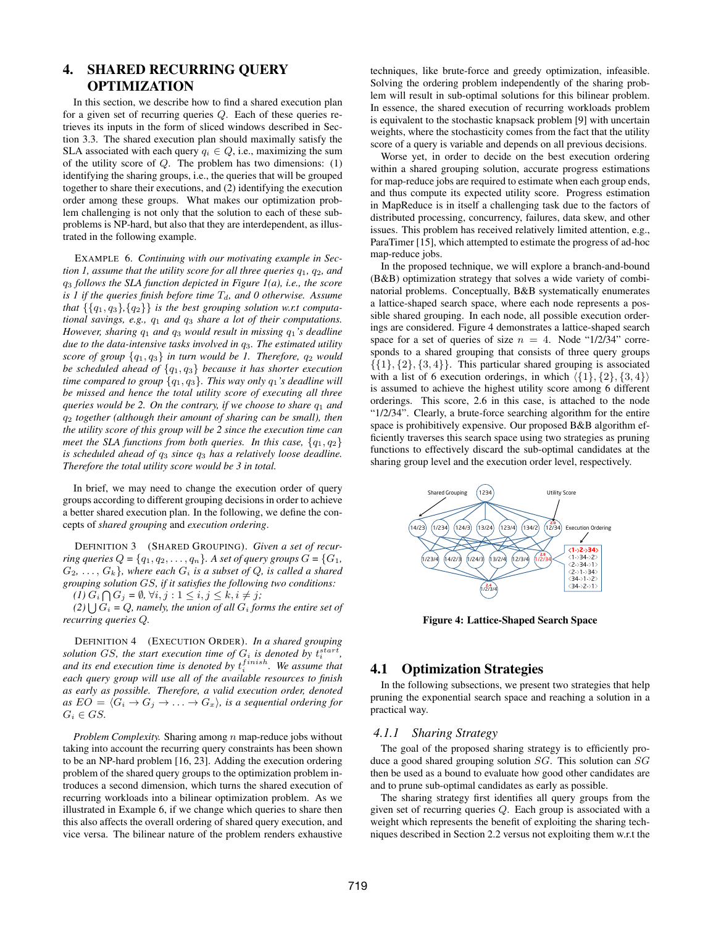# 4. SHARED RECURRING QUERY OPTIMIZATION

In this section, we describe how to find a shared execution plan for a given set of recurring queries Q. Each of these queries retrieves its inputs in the form of sliced windows described in Section 3.3. The shared execution plan should maximally satisfy the SLA associated with each query  $q_i \in Q$ , i.e., maximizing the sum of the utility score of  $Q$ . The problem has two dimensions:  $(1)$ identifying the sharing groups, i.e., the queries that will be grouped together to share their executions, and (2) identifying the execution order among these groups. What makes our optimization problem challenging is not only that the solution to each of these subproblems is NP-hard, but also that they are interdependent, as illustrated in the following example.

EXAMPLE 6. *Continuing with our motivating example in Section 1, assume that the utility score for all three queries*  $q_1$ *,*  $q_2$ *<i>, and* q<sup>3</sup> *follows the SLA function depicted in Figure 1(a), i.e., the score is 1 if the queries finish before time*  $T_d$ *, and 0 otherwise. Assume that*  $\{\{q_1, q_3\}, \{q_2\}\}\$  *is the best grouping solution w.r.t computational savings, e.g.,* q<sup>1</sup> *and* q<sup>3</sup> *share a lot of their computations. However, sharing*  $q_1$  *and*  $q_3$  *would result in missing*  $q_1$ *'s deadline due to the data-intensive tasks involved in* q3*. The estimated utility score of group*  $\{q_1, q_3\}$  *in turn would be 1. Therefore,*  $q_2$  *would be scheduled ahead of* {q1, q3} *because it has shorter execution time compared to group*  $\{q_1, q_3\}$ *. This way only*  $q_1$ *'s deadline will be missed and hence the total utility score of executing all three queries would be 2. On the contrary, if we choose to share*  $q_1$  *and* q<sup>2</sup> *together (although their amount of sharing can be small), then the utility score of this group will be 2 since the execution time can meet the SLA functions from both queries. In this case,*  $\{q_1, q_2\}$ *is scheduled ahead of* q<sup>3</sup> *since* q<sup>3</sup> *has a relatively loose deadline. Therefore the total utility score would be 3 in total.*

In brief, we may need to change the execution order of query groups according to different grouping decisions in order to achieve a better shared execution plan. In the following, we define the concepts of *shared grouping* and *execution ordering*.

DEFINITION 3 (SHARED GROUPING). *Given a set of recurring queries*  $Q = \{q_1, q_2, \ldots, q_n\}$ . A set of query groups  $G = \{G_1, G_2, \ldots, G_n\}$  $G_2, \ldots, G_k$ *, where each*  $G_i$  *is a subset of Q, is called a shared grouping solution* GS*, if it satisfies the following two conditions:*

 $(I)$   $G_i \bigcap G_j = \emptyset$ ,  $\forall i, j : 1 \leq i, j \leq k, i \neq j$ ;

 $(2) \bigcup G_i = Q$ , namely, the union of all  $G_i$  forms the entire set of *recurring queries* Q*.*

DEFINITION 4 (EXECUTION ORDER). *In a shared grouping* solution GS, the start execution time of  $G_i$  is denoted by  $t_i^{start}$ *,* and its end execution time is denoted by  $t_i^{finish}$ . We assume that *each query group will use all of the available resources to finish as early as possible. Therefore, a valid execution order, denoted*  $as \ EO = \langle G_i \rightarrow G_j \rightarrow \ldots \rightarrow G_x \rangle$ , *is a sequential ordering for*  $G_i \in GS$ .

*Problem Complexity.* Sharing among *n* map-reduce jobs without taking into account the recurring query constraints has been shown to be an NP-hard problem [16, 23]. Adding the execution ordering problem of the shared query groups to the optimization problem introduces a second dimension, which turns the shared execution of recurring workloads into a bilinear optimization problem. As we illustrated in Example 6, if we change which queries to share then this also affects the overall ordering of shared query execution, and vice versa. The bilinear nature of the problem renders exhaustive techniques, like brute-force and greedy optimization, infeasible. Solving the ordering problem independently of the sharing problem will result in sub-optimal solutions for this bilinear problem. In essence, the shared execution of recurring workloads problem is equivalent to the stochastic knapsack problem [9] with uncertain weights, where the stochasticity comes from the fact that the utility score of a query is variable and depends on all previous decisions.

Worse yet, in order to decide on the best execution ordering within a shared grouping solution, accurate progress estimations for map-reduce jobs are required to estimate when each group ends, and thus compute its expected utility score. Progress estimation in MapReduce is in itself a challenging task due to the factors of distributed processing, concurrency, failures, data skew, and other issues. This problem has received relatively limited attention, e.g., ParaTimer [15], which attempted to estimate the progress of ad-hoc map-reduce jobs.

In the proposed technique, we will explore a branch-and-bound (B&B) optimization strategy that solves a wide variety of combinatorial problems. Conceptually, B&B systematically enumerates a lattice-shaped search space, where each node represents a possible shared grouping. In each node, all possible execution orderings are considered. Figure 4 demonstrates a lattice-shaped search space for a set of queries of size  $n = 4$ . Node "1/2/34" corresponds to a shared grouping that consists of three query groups  $\{\{1\}, \{2\}, \{3, 4\}\}\$ . This particular shared grouping is associated with a list of 6 execution orderings, in which  $\langle \{1\}, \{2\}, \{3, 4\}\rangle$ is assumed to achieve the highest utility score among 6 different orderings. This score, 2.6 in this case, is attached to the node "1/2/34". Clearly, a brute-force searching algorithm for the entire space is prohibitively expensive. Our proposed B&B algorithm efficiently traverses this search space using two strategies as pruning functions to effectively discard the sub-optimal candidates at the sharing group level and the execution order level, respectively.



Figure 4: Lattice-Shaped Search Space

## 4.1 Optimization Strategies

In the following subsections, we present two strategies that help pruning the exponential search space and reaching a solution in a practical way.

#### *4.1.1 Sharing Strategy*

The goal of the proposed sharing strategy is to efficiently produce a good shared grouping solution  $SG$ . This solution can  $SG$ then be used as a bound to evaluate how good other candidates are and to prune sub-optimal candidates as early as possible.

The sharing strategy first identifies all query groups from the given set of recurring queries Q. Each group is associated with a weight which represents the benefit of exploiting the sharing techniques described in Section 2.2 versus not exploiting them w.r.t the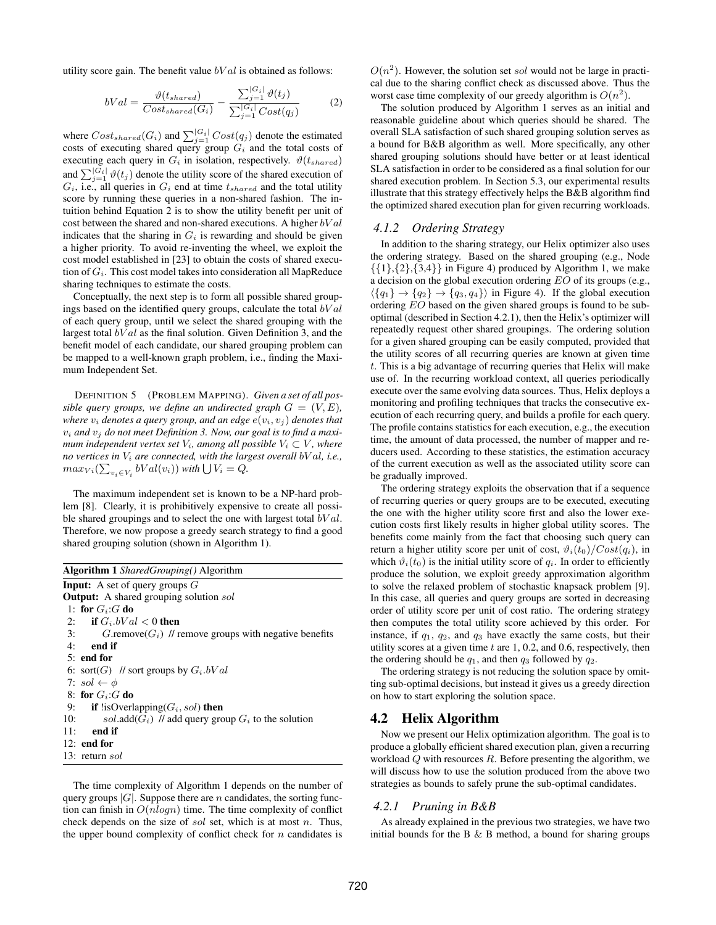utility score gain. The benefit value  $bVal$  is obtained as follows:

$$
bVal = \frac{\vartheta(t_{shared})}{Cost_{shared}(G_i)} - \frac{\sum_{j=1}^{|G_i|} \vartheta(t_j)}{\sum_{j=1}^{|G_i|} Cost(q_j)}
$$
(2)

where  $Cost_{shared}(G_i)$  and  $\sum_{j=1}^{|G_i|} Cost(q_j)$  denote the estimated costs of executing shared query group  $G_i$  and the total costs of executing each query in  $G_i$  in isolation, respectively.  $\vartheta(t_{shared})$ and  $\sum_{j=1}^{|G_i|} \vartheta(t_j)$  denote the utility score of the shared execution of  $G_i$ , i.e., all queries in  $G_i$  end at time  $t_{shared}$  and the total utility score by running these queries in a non-shared fashion. The intuition behind Equation 2 is to show the utility benefit per unit of cost between the shared and non-shared executions. A higher  $bVal$ indicates that the sharing in  $G_i$  is rewarding and should be given a higher priority. To avoid re-inventing the wheel, we exploit the cost model established in [23] to obtain the costs of shared execution of  $G_i$ . This cost model takes into consideration all MapReduce sharing techniques to estimate the costs.

Conceptually, the next step is to form all possible shared groupings based on the identified query groups, calculate the total  $bVal$ of each query group, until we select the shared grouping with the largest total  $bVal$  as the final solution. Given Definition 3, and the benefit model of each candidate, our shared grouping problem can be mapped to a well-known graph problem, i.e., finding the Maximum Independent Set.

DEFINITION 5 (PROBLEM MAPPING). *Given a set of all possible query groups, we define an undirected graph*  $G = (V, E)$ *, where*  $v_i$  *denotes a query group, and an edge*  $e(v_i, v_j)$  *denotes that*  $v_i$  and  $v_j$  do not meet Definition 3. Now, our goal is to find a maxi*mum independent vertex set*  $V_i$ *, among all possible*  $V_i \subset V$ *, where no vertices in* V<sup>i</sup> *are connected, with the largest overall* bV al*, i.e.,*  $max_{V_i}(\sum_{v_i \in V_i}bVal(v_i))$  with  $\bigcup V_i = Q$ .

The maximum independent set is known to be a NP-hard problem [8]. Clearly, it is prohibitively expensive to create all possible shared groupings and to select the one with largest total  $bVal$ . Therefore, we now propose a greedy search strategy to find a good shared grouping solution (shown in Algorithm 1).

| <b>Algorithm 1</b> SharedGrouping() Algorithm                    |  |  |
|------------------------------------------------------------------|--|--|
| <b>Input:</b> A set of query groups $G$                          |  |  |
| <b>Output:</b> A shared grouping solution sol                    |  |  |
| 1: for $G_i$ : G do                                              |  |  |
| 2: if $G_i.bVal < 0$ then                                        |  |  |
| 3:<br>$G$ remove $(G_i)$ // remove groups with negative benefits |  |  |
| $4:$ end if                                                      |  |  |
| $5:$ end for                                                     |  |  |
| 6: sort(G) // sort groups by $G_i.bVal$                          |  |  |
| 7: $sol \leftarrow \phi$                                         |  |  |
| 8: for $G_i$ : G do                                              |  |  |
| 9: if !isOverlapping( $G_i$ , sol) then                          |  |  |
| sol.add( $G_i$ ) // add query group $G_i$ to the solution<br>10: |  |  |
| $11:$ end if                                                     |  |  |
| $12:$ end for                                                    |  |  |
| 13: return sol                                                   |  |  |
|                                                                  |  |  |

The time complexity of Algorithm 1 depends on the number of query groups  $|G|$ . Suppose there are *n* candidates, the sorting function can finish in  $O(n \log n)$  time. The time complexity of conflict check depends on the size of sol set, which is at most  $n$ . Thus, the upper bound complexity of conflict check for  $n$  candidates is

 $O(n^2)$ . However, the solution set sol would not be large in practical due to the sharing conflict check as discussed above. Thus the worst case time complexity of our greedy algorithm is  $O(n^2)$ .

The solution produced by Algorithm 1 serves as an initial and reasonable guideline about which queries should be shared. The overall SLA satisfaction of such shared grouping solution serves as a bound for B&B algorithm as well. More specifically, any other shared grouping solutions should have better or at least identical SLA satisfaction in order to be considered as a final solution for our shared execution problem. In Section 5.3, our experimental results illustrate that this strategy effectively helps the B&B algorithm find the optimized shared execution plan for given recurring workloads.

#### *4.1.2 Ordering Strategy*

In addition to the sharing strategy, our Helix optimizer also uses the ordering strategy. Based on the shared grouping (e.g., Node  $\{\{1\},\{2\},\{3,4\}\}\$  in Figure 4) produced by Algorithm 1, we make a decision on the global execution ordering EO of its groups (e.g.,  $\langle \{q_1\} \rightarrow \{q_2\} \rightarrow \{q_3, q_4\} \rangle$  in Figure 4). If the global execution ordering EO based on the given shared groups is found to be suboptimal (described in Section 4.2.1), then the Helix's optimizer will repeatedly request other shared groupings. The ordering solution for a given shared grouping can be easily computed, provided that the utility scores of all recurring queries are known at given time t. This is a big advantage of recurring queries that Helix will make use of. In the recurring workload context, all queries periodically execute over the same evolving data sources. Thus, Helix deploys a monitoring and profiling techniques that tracks the consecutive execution of each recurring query, and builds a profile for each query. The profile contains statistics for each execution, e.g., the execution time, the amount of data processed, the number of mapper and reducers used. According to these statistics, the estimation accuracy of the current execution as well as the associated utility score can be gradually improved.

The ordering strategy exploits the observation that if a sequence of recurring queries or query groups are to be executed, executing the one with the higher utility score first and also the lower execution costs first likely results in higher global utility scores. The benefits come mainly from the fact that choosing such query can return a higher utility score per unit of cost,  $\vartheta_i(t_0)/Cost(q_i)$ , in which  $\vartheta_i(t_0)$  is the initial utility score of  $q_i$ . In order to efficiently produce the solution, we exploit greedy approximation algorithm to solve the relaxed problem of stochastic knapsack problem [9]. In this case, all queries and query groups are sorted in decreasing order of utility score per unit of cost ratio. The ordering strategy then computes the total utility score achieved by this order. For instance, if  $q_1$ ,  $q_2$ , and  $q_3$  have exactly the same costs, but their utility scores at a given time  $t$  are 1, 0.2, and 0.6, respectively, then the ordering should be  $q_1$ , and then  $q_3$  followed by  $q_2$ .

The ordering strategy is not reducing the solution space by omitting sub-optimal decisions, but instead it gives us a greedy direction on how to start exploring the solution space.

## 4.2 Helix Algorithm

Now we present our Helix optimization algorithm. The goal is to produce a globally efficient shared execution plan, given a recurring workload  $Q$  with resources  $R$ . Before presenting the algorithm, we will discuss how to use the solution produced from the above two strategies as bounds to safely prune the sub-optimal candidates.

#### *4.2.1 Pruning in B&B*

As already explained in the previous two strategies, we have two initial bounds for the B  $\&$  B method, a bound for sharing groups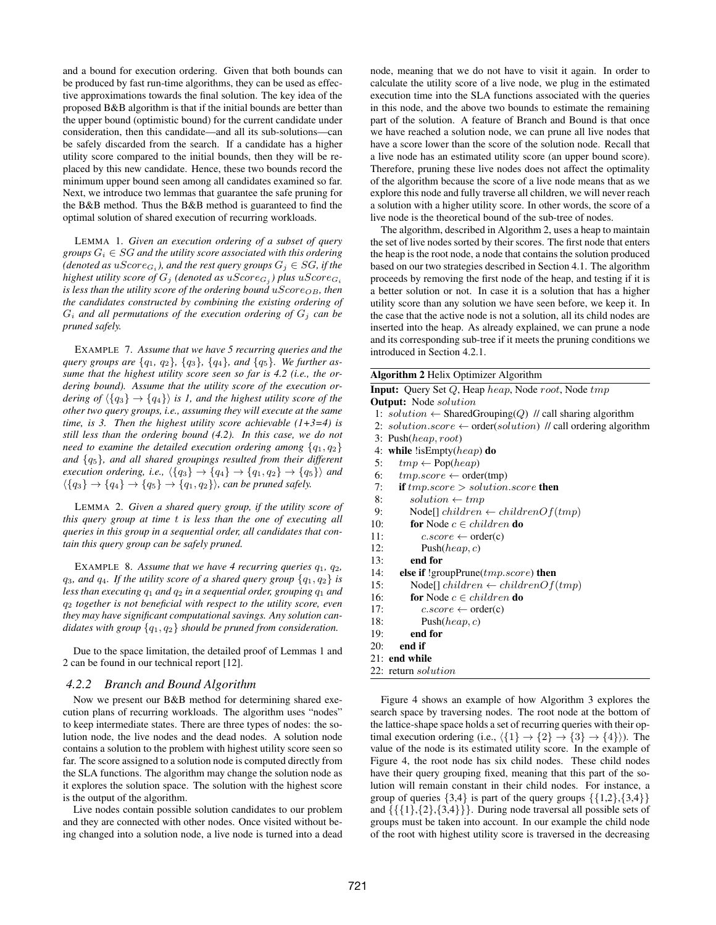and a bound for execution ordering. Given that both bounds can be produced by fast run-time algorithms, they can be used as effective approximations towards the final solution. The key idea of the proposed B&B algorithm is that if the initial bounds are better than the upper bound (optimistic bound) for the current candidate under consideration, then this candidate—and all its sub-solutions—can be safely discarded from the search. If a candidate has a higher utility score compared to the initial bounds, then they will be replaced by this new candidate. Hence, these two bounds record the minimum upper bound seen among all candidates examined so far. Next, we introduce two lemmas that guarantee the safe pruning for the B&B method. Thus the B&B method is guaranteed to find the optimal solution of shared execution of recurring workloads.

LEMMA 1. *Given an execution ordering of a subset of query groups*  $G_i \in SG$  *and the utility score associated with this ordering* (denoted as  $uScore_{G_i}$ ), and the rest query groups  $G_j\in SG$ , if the *highest utility score of*  $G_j$  *(denoted as*  $uScore_{G_j}$ *) plus*  $uScore_{G_i}$ *is less than the utility score of the ordering bound*  $uScore_{OB}$ , then *the candidates constructed by combining the existing ordering of*  $G_i$  *and all permutations of the execution ordering of*  $G_i$  *can be pruned safely.*

EXAMPLE 7. *Assume that we have 5 recurring queries and the query groups are*  $\{q_1, q_2\}$ ,  $\{q_3\}$ ,  $\{q_4\}$ , and  $\{q_5\}$ . We further as*sume that the highest utility score seen so far is 4.2 (i.e., the ordering bound). Assume that the utility score of the execution ordering of*  $\langle \{q_3\} \rightarrow \{q_4\} \rangle$  *is 1, and the highest utility score of the other two query groups, i.e., assuming they will execute at the same time, is 3. Then the highest utility score achievable (1+3=4) is still less than the ordering bound (4.2). In this case, we do not need to examine the detailed execution ordering among*  ${q_1, q_2}$ *and* {q5}*, and all shared groupings resulted from their different execution ordering, i.e.,*  $\langle \{q_3\} \rightarrow \{q_4\} \rightarrow \{q_1, q_2\} \rightarrow \{q_5\} \rangle$  *and*  $\langle \{q_3\} \rightarrow \{q_4\} \rightarrow \{q_5\} \rightarrow \{q_1, q_2\} \rangle$ *, can be pruned safely.* 

LEMMA 2. *Given a shared query group, if the utility score of this query group at time* t *is less than the one of executing all queries in this group in a sequential order, all candidates that contain this query group can be safely pruned.*

EXAMPLE 8. Assume that we have 4 recurring queries  $q_1$ ,  $q_2$ ,  $q_3$ *, and*  $q_4$ *. If the utility score of a shared query group*  $\{q_1, q_2\}$  *is less than executing* q<sup>1</sup> *and* q<sup>2</sup> *in a sequential order, grouping* q<sup>1</sup> *and* q<sup>2</sup> *together is not beneficial with respect to the utility score, even they may have significant computational savings. Any solution candidates with group* {q1, q2} *should be pruned from consideration.*

Due to the space limitation, the detailed proof of Lemmas 1 and 2 can be found in our technical report [12].

#### *4.2.2 Branch and Bound Algorithm*

Now we present our B&B method for determining shared execution plans of recurring workloads. The algorithm uses "nodes" to keep intermediate states. There are three types of nodes: the solution node, the live nodes and the dead nodes. A solution node contains a solution to the problem with highest utility score seen so far. The score assigned to a solution node is computed directly from the SLA functions. The algorithm may change the solution node as it explores the solution space. The solution with the highest score is the output of the algorithm.

Live nodes contain possible solution candidates to our problem and they are connected with other nodes. Once visited without being changed into a solution node, a live node is turned into a dead

node, meaning that we do not have to visit it again. In order to calculate the utility score of a live node, we plug in the estimated execution time into the SLA functions associated with the queries in this node, and the above two bounds to estimate the remaining part of the solution. A feature of Branch and Bound is that once we have reached a solution node, we can prune all live nodes that have a score lower than the score of the solution node. Recall that a live node has an estimated utility score (an upper bound score). Therefore, pruning these live nodes does not affect the optimality of the algorithm because the score of a live node means that as we explore this node and fully traverse all children, we will never reach a solution with a higher utility score. In other words, the score of a live node is the theoretical bound of the sub-tree of nodes.

The algorithm, described in Algorithm 2, uses a heap to maintain the set of live nodes sorted by their scores. The first node that enters the heap is the root node, a node that contains the solution produced based on our two strategies described in Section 4.1. The algorithm proceeds by removing the first node of the heap, and testing if it is a better solution or not. In case it is a solution that has a higher utility score than any solution we have seen before, we keep it. In the case that the active node is not a solution, all its child nodes are inserted into the heap. As already explained, we can prune a node and its corresponding sub-tree if it meets the pruning conditions we introduced in Section 4.2.1.

| <b>Algorithm 2 Helix Optimizer Algorithm</b>                              |
|---------------------------------------------------------------------------|
| <b>Input:</b> Query Set Q, Heap heap, Node root, Node tmp                 |
| <b>Output:</b> Node solution                                              |
| 1: solution $\leftarrow$ SharedGrouping(Q) // call sharing algorithm      |
| 2: solution.score $\leftarrow$ order(solution) // call ordering algorithm |
| 3: $Push(headp, root)$                                                    |
| 4: while $\text{IsEmpty}(heap)$ do                                        |
| 5:<br>$tmp \leftarrow Pop(headp)$                                         |
| 6:<br>$tmp.score \leftarrow order(tmp)$                                   |
| 7:<br><b>if</b> $tmp.score > solution.score$ then                         |
| 8:<br>$solution \leftarrow tmp$                                           |
| 9:<br>Node[] children $\leftarrow$ children $Of(tmp)$                     |
| 10:<br><b>for</b> Node $c \in children$ <b>do</b>                         |
| 11:<br>$c.score \leftarrow order(c)$                                      |
| 12:<br>Push(heap, c)                                                      |
| end for<br>13:                                                            |
| 14:<br>else if !groupPrune $tmp.score)$ then                              |
| 15:<br>Nodell children $\leftarrow$ childrenOf(tmp)                       |
| 16:<br><b>for</b> Node $c \in children$ <b>do</b>                         |
| 17:<br>$c.score \leftarrow order(c)$                                      |
| 18:<br>Push(heap, c)                                                      |
| end for<br>19:                                                            |
| 20:<br>end if                                                             |
| $21:$ end while                                                           |
| 22: return <i>solution</i>                                                |

Figure 4 shows an example of how Algorithm 3 explores the search space by traversing nodes. The root node at the bottom of the lattice-shape space holds a set of recurring queries with their optimal execution ordering (i.e.,  $\langle \{1\} \rightarrow \{2\} \rightarrow \{3\} \rightarrow \{4\} \rangle$ ). The value of the node is its estimated utility score. In the example of Figure 4, the root node has six child nodes. These child nodes have their query grouping fixed, meaning that this part of the solution will remain constant in their child nodes. For instance, a group of queries  $\{3,4\}$  is part of the query groups  $\{\{1,2\},\{3,4\}\}\$ and  $\{\{\{1\},\{2\},\{3,4\}\}\}\.$  During node traversal all possible sets of groups must be taken into account. In our example the child node of the root with highest utility score is traversed in the decreasing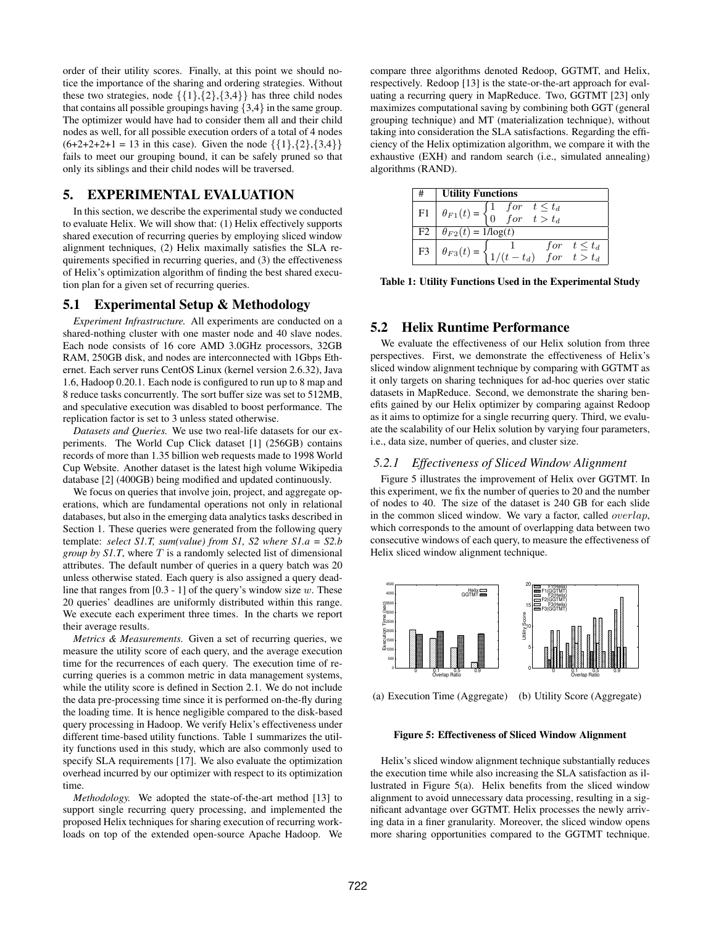order of their utility scores. Finally, at this point we should notice the importance of the sharing and ordering strategies. Without these two strategies, node  $\{\{1\},\{2\},\{3,4\}\}\$  has three child nodes that contains all possible groupings having {3,4} in the same group. The optimizer would have had to consider them all and their child nodes as well, for all possible execution orders of a total of 4 nodes  $(6+2+2+2+1) = 13$  in this case). Given the node  $\{\{1\},\{2\},\{3,4\}\}\$ fails to meet our grouping bound, it can be safely pruned so that only its siblings and their child nodes will be traversed.

## 5. EXPERIMENTAL EVALUATION

In this section, we describe the experimental study we conducted to evaluate Helix. We will show that: (1) Helix effectively supports shared execution of recurring queries by employing sliced window alignment techniques, (2) Helix maximally satisfies the SLA requirements specified in recurring queries, and (3) the effectiveness of Helix's optimization algorithm of finding the best shared execution plan for a given set of recurring queries.

#### 5.1 Experimental Setup & Methodology

*Experiment Infrastructure.* All experiments are conducted on a shared-nothing cluster with one master node and 40 slave nodes. Each node consists of 16 core AMD 3.0GHz processors, 32GB RAM, 250GB disk, and nodes are interconnected with 1Gbps Ethernet. Each server runs CentOS Linux (kernel version 2.6.32), Java 1.6, Hadoop 0.20.1. Each node is configured to run up to 8 map and 8 reduce tasks concurrently. The sort buffer size was set to 512MB, and speculative execution was disabled to boost performance. The replication factor is set to 3 unless stated otherwise.

*Datasets and Queries.* We use two real-life datasets for our experiments. The World Cup Click dataset [1] (256GB) contains records of more than 1.35 billion web requests made to 1998 World Cup Website. Another dataset is the latest high volume Wikipedia database [2] (400GB) being modified and updated continuously.

We focus on queries that involve join, project, and aggregate operations, which are fundamental operations not only in relational databases, but also in the emerging data analytics tasks described in Section 1. These queries were generated from the following query template: *select S1.T, sum(value) from S1, S2 where S1.a = S2.b group by S1.T*, where T is a randomly selected list of dimensional attributes. The default number of queries in a query batch was 20 unless otherwise stated. Each query is also assigned a query deadline that ranges from  $[0.3 - 1]$  of the query's window size w. These 20 queries' deadlines are uniformly distributed within this range. We execute each experiment three times. In the charts we report their average results.

*Metrics & Measurements.* Given a set of recurring queries, we measure the utility score of each query, and the average execution time for the recurrences of each query. The execution time of recurring queries is a common metric in data management systems, while the utility score is defined in Section 2.1. We do not include the data pre-processing time since it is performed on-the-fly during the loading time. It is hence negligible compared to the disk-based query processing in Hadoop. We verify Helix's effectiveness under different time-based utility functions. Table 1 summarizes the utility functions used in this study, which are also commonly used to specify SLA requirements [17]. We also evaluate the optimization overhead incurred by our optimizer with respect to its optimization time.

*Methodology.* We adopted the state-of-the-art method [13] to support single recurring query processing, and implemented the proposed Helix techniques for sharing execution of recurring workloads on top of the extended open-source Apache Hadoop. We compare three algorithms denoted Redoop, GGTMT, and Helix, respectively. Redoop [13] is the state-or-the-art approach for evaluating a recurring query in MapReduce. Two, GGTMT [23] only maximizes computational saving by combining both GGT (general grouping technique) and MT (materialization technique), without taking into consideration the SLA satisfactions. Regarding the efficiency of the Helix optimization algorithm, we compare it with the exhaustive (EXH) and random search (i.e., simulated annealing) algorithms (RAND).

| # | <b>Utility Functions</b>                                                                                      |
|---|---------------------------------------------------------------------------------------------------------------|
|   | F1 $\theta_{F1}(t) = \begin{cases} 1 & \text{for } t \leq t_d \\ 0 & \text{for } t > t_d \end{cases}$         |
|   | F2 $\theta_{F2}(t) = 1/\log(t)$                                                                               |
|   | F3 $\theta_{F3}(t) = \begin{cases} 1 & \text{for } t \leq t_d \\ 1/(t-t_d) & \text{for } t > t_d \end{cases}$ |

Table 1: Utility Functions Used in the Experimental Study

## 5.2 Helix Runtime Performance

We evaluate the effectiveness of our Helix solution from three perspectives. First, we demonstrate the effectiveness of Helix's sliced window alignment technique by comparing with GGTMT as it only targets on sharing techniques for ad-hoc queries over static datasets in MapReduce. Second, we demonstrate the sharing benefits gained by our Helix optimizer by comparing against Redoop as it aims to optimize for a single recurring query. Third, we evaluate the scalability of our Helix solution by varying four parameters, i.e., data size, number of queries, and cluster size.

#### *5.2.1 Effectiveness of Sliced Window Alignment*

Figure 5 illustrates the improvement of Helix over GGTMT. In this experiment, we fix the number of queries to 20 and the number of nodes to 40. The size of the dataset is 240 GB for each slide in the common sliced window. We vary a factor, called *overlap*, which corresponds to the amount of overlapping data between two consecutive windows of each query, to measure the effectiveness of Helix sliced window alignment technique.



(a) Execution Time (Aggregate) (b) Utility Score (Aggregate)

#### Figure 5: Effectiveness of Sliced Window Alignment

Helix's sliced window alignment technique substantially reduces the execution time while also increasing the SLA satisfaction as illustrated in Figure 5(a). Helix benefits from the sliced window alignment to avoid unnecessary data processing, resulting in a significant advantage over GGTMT. Helix processes the newly arriving data in a finer granularity. Moreover, the sliced window opens more sharing opportunities compared to the GGTMT technique.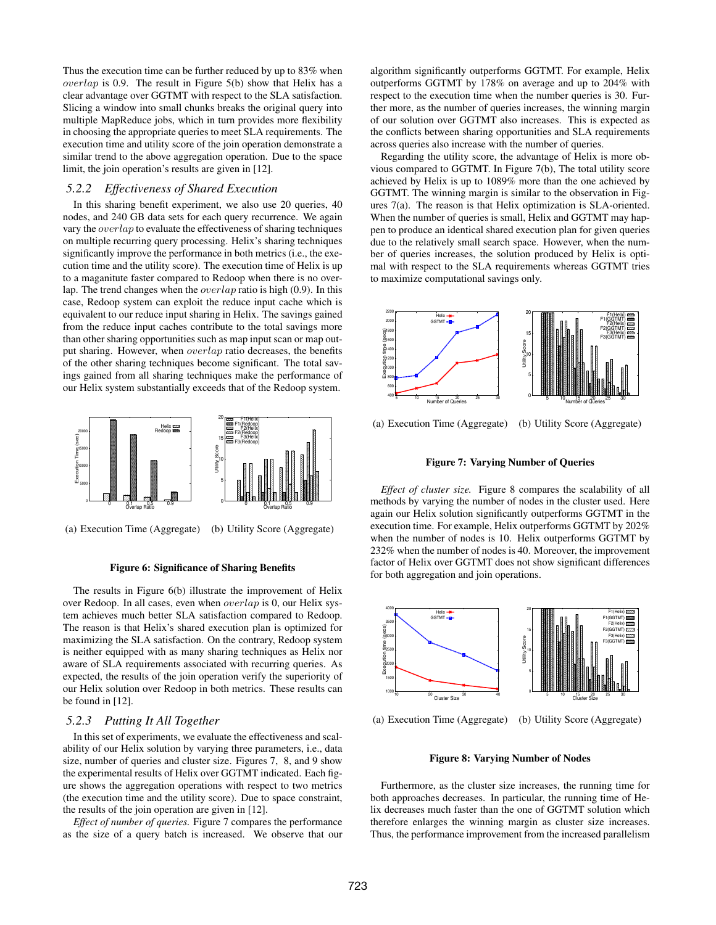Thus the execution time can be further reduced by up to 83% when overlap is 0.9. The result in Figure 5(b) show that Helix has a clear advantage over GGTMT with respect to the SLA satisfaction. Slicing a window into small chunks breaks the original query into multiple MapReduce jobs, which in turn provides more flexibility in choosing the appropriate queries to meet SLA requirements. The execution time and utility score of the join operation demonstrate a similar trend to the above aggregation operation. Due to the space limit, the join operation's results are given in [12].

#### *5.2.2 Effectiveness of Shared Execution*

In this sharing benefit experiment, we also use 20 queries, 40 nodes, and 240 GB data sets for each query recurrence. We again vary the overlap to evaluate the effectiveness of sharing techniques on multiple recurring query processing. Helix's sharing techniques significantly improve the performance in both metrics (i.e., the execution time and the utility score). The execution time of Helix is up to a maganitute faster compared to Redoop when there is no overlap. The trend changes when the overlap ratio is high (0.9). In this case, Redoop system can exploit the reduce input cache which is equivalent to our reduce input sharing in Helix. The savings gained from the reduce input caches contribute to the total savings more than other sharing opportunities such as map input scan or map output sharing. However, when overlap ratio decreases, the benefits of the other sharing techniques become significant. The total savings gained from all sharing techniques make the performance of our Helix system substantially exceeds that of the Redoop system.



(a) Execution Time (Aggregate) (b) Utility Score (Aggregate)

#### Figure 6: Significance of Sharing Benefits

The results in Figure 6(b) illustrate the improvement of Helix over Redoop. In all cases, even when overlap is 0, our Helix system achieves much better SLA satisfaction compared to Redoop. The reason is that Helix's shared execution plan is optimized for maximizing the SLA satisfaction. On the contrary, Redoop system is neither equipped with as many sharing techniques as Helix nor aware of SLA requirements associated with recurring queries. As expected, the results of the join operation verify the superiority of our Helix solution over Redoop in both metrics. These results can be found in [12].

#### *5.2.3 Putting It All Together*

In this set of experiments, we evaluate the effectiveness and scalability of our Helix solution by varying three parameters, i.e., data size, number of queries and cluster size. Figures 7, 8, and 9 show the experimental results of Helix over GGTMT indicated. Each figure shows the aggregation operations with respect to two metrics (the execution time and the utility score). Due to space constraint, the results of the join operation are given in [12].

*Effect of number of queries.* Figure 7 compares the performance as the size of a query batch is increased. We observe that our

algorithm significantly outperforms GGTMT. For example, Helix outperforms GGTMT by 178% on average and up to 204% with respect to the execution time when the number queries is 30. Further more, as the number of queries increases, the winning margin of our solution over GGTMT also increases. This is expected as the conflicts between sharing opportunities and SLA requirements across queries also increase with the number of queries.

Regarding the utility score, the advantage of Helix is more obvious compared to GGTMT. In Figure 7(b), The total utility score achieved by Helix is up to 1089% more than the one achieved by GGTMT. The winning margin is similar to the observation in Figures 7(a). The reason is that Helix optimization is SLA-oriented. When the number of queries is small, Helix and GGTMT may happen to produce an identical shared execution plan for given queries due to the relatively small search space. However, when the number of queries increases, the solution produced by Helix is optimal with respect to the SLA requirements whereas GGTMT tries to maximize computational savings only.



(a) Execution Time (Aggregate) (b) Utility Score (Aggregate)

#### Figure 7: Varying Number of Queries

*Effect of cluster size.* Figure 8 compares the scalability of all methods by varying the number of nodes in the cluster used. Here again our Helix solution significantly outperforms GGTMT in the execution time. For example, Helix outperforms GGTMT by 202% when the number of nodes is 10. Helix outperforms GGTMT by 232% when the number of nodes is 40. Moreover, the improvement factor of Helix over GGTMT does not show significant differences for both aggregation and join operations.



(a) Execution Time (Aggregate) (b) Utility Score (Aggregate)

#### Figure 8: Varying Number of Nodes

Furthermore, as the cluster size increases, the running time for both approaches decreases. In particular, the running time of Helix decreases much faster than the one of GGTMT solution which therefore enlarges the winning margin as cluster size increases. Thus, the performance improvement from the increased parallelism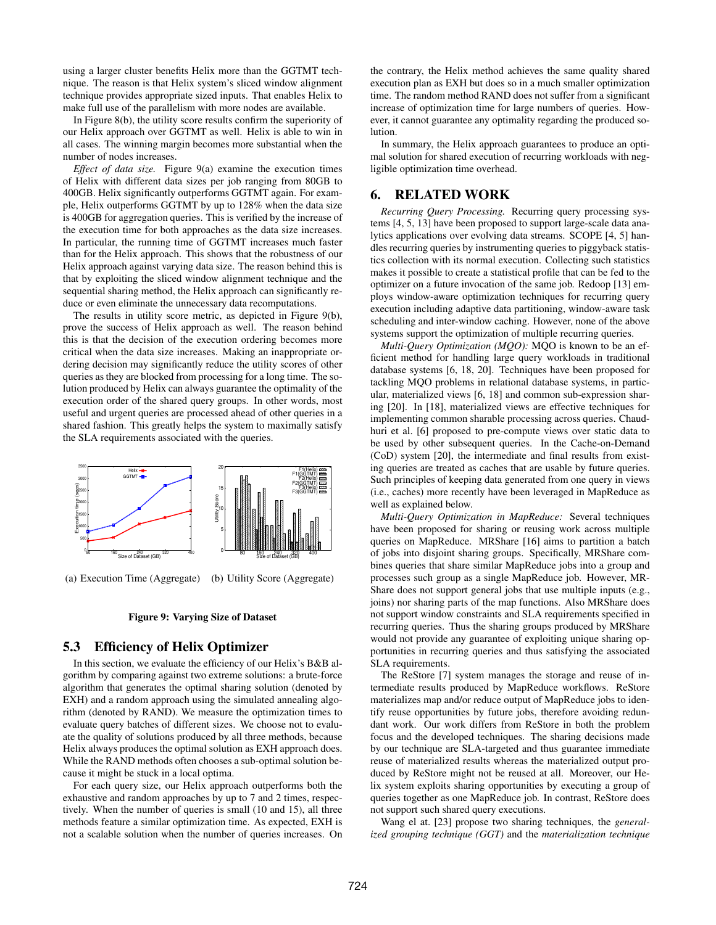using a larger cluster benefits Helix more than the GGTMT technique. The reason is that Helix system's sliced window alignment technique provides appropriate sized inputs. That enables Helix to make full use of the parallelism with more nodes are available.

In Figure 8(b), the utility score results confirm the superiority of our Helix approach over GGTMT as well. Helix is able to win in all cases. The winning margin becomes more substantial when the number of nodes increases.

*Effect of data size.* Figure 9(a) examine the execution times of Helix with different data sizes per job ranging from 80GB to 400GB. Helix significantly outperforms GGTMT again. For example, Helix outperforms GGTMT by up to 128% when the data size is 400GB for aggregation queries. This is verified by the increase of the execution time for both approaches as the data size increases. In particular, the running time of GGTMT increases much faster than for the Helix approach. This shows that the robustness of our Helix approach against varying data size. The reason behind this is that by exploiting the sliced window alignment technique and the sequential sharing method, the Helix approach can significantly reduce or even eliminate the unnecessary data recomputations.

The results in utility score metric, as depicted in Figure 9(b), prove the success of Helix approach as well. The reason behind this is that the decision of the execution ordering becomes more critical when the data size increases. Making an inappropriate ordering decision may significantly reduce the utility scores of other queries as they are blocked from processing for a long time. The solution produced by Helix can always guarantee the optimality of the execution order of the shared query groups. In other words, most useful and urgent queries are processed ahead of other queries in a shared fashion. This greatly helps the system to maximally satisfy the SLA requirements associated with the queries.



(a) Execution Time (Aggregate) (b) Utility Score (Aggregate)

#### Figure 9: Varying Size of Dataset

## 5.3 Efficiency of Helix Optimizer

In this section, we evaluate the efficiency of our Helix's B&B algorithm by comparing against two extreme solutions: a brute-force algorithm that generates the optimal sharing solution (denoted by EXH) and a random approach using the simulated annealing algorithm (denoted by RAND). We measure the optimization times to evaluate query batches of different sizes. We choose not to evaluate the quality of solutions produced by all three methods, because Helix always produces the optimal solution as EXH approach does. While the RAND methods often chooses a sub-optimal solution because it might be stuck in a local optima.

For each query size, our Helix approach outperforms both the exhaustive and random approaches by up to 7 and 2 times, respectively. When the number of queries is small (10 and 15), all three methods feature a similar optimization time. As expected, EXH is not a scalable solution when the number of queries increases. On the contrary, the Helix method achieves the same quality shared execution plan as EXH but does so in a much smaller optimization time. The random method RAND does not suffer from a significant increase of optimization time for large numbers of queries. However, it cannot guarantee any optimality regarding the produced solution.

In summary, the Helix approach guarantees to produce an optimal solution for shared execution of recurring workloads with negligible optimization time overhead.

#### 6. RELATED WORK

*Recurring Query Processing.* Recurring query processing systems [4, 5, 13] have been proposed to support large-scale data analytics applications over evolving data streams. SCOPE [4, 5] handles recurring queries by instrumenting queries to piggyback statistics collection with its normal execution. Collecting such statistics makes it possible to create a statistical profile that can be fed to the optimizer on a future invocation of the same job. Redoop [13] employs window-aware optimization techniques for recurring query execution including adaptive data partitioning, window-aware task scheduling and inter-window caching. However, none of the above systems support the optimization of multiple recurring queries.

*Multi-Query Optimization (MQO):* MQO is known to be an efficient method for handling large query workloads in traditional database systems [6, 18, 20]. Techniques have been proposed for tackling MQO problems in relational database systems, in particular, materialized views [6, 18] and common sub-expression sharing [20]. In [18], materialized views are effective techniques for implementing common sharable processing across queries. Chaudhuri et al. [6] proposed to pre-compute views over static data to be used by other subsequent queries. In the Cache-on-Demand (CoD) system [20], the intermediate and final results from existing queries are treated as caches that are usable by future queries. Such principles of keeping data generated from one query in views (i.e., caches) more recently have been leveraged in MapReduce as well as explained below.

*Multi-Query Optimization in MapReduce:* Several techniques have been proposed for sharing or reusing work across multiple queries on MapReduce. MRShare [16] aims to partition a batch of jobs into disjoint sharing groups. Specifically, MRShare combines queries that share similar MapReduce jobs into a group and processes such group as a single MapReduce job. However, MR-Share does not support general jobs that use multiple inputs (e.g., joins) nor sharing parts of the map functions. Also MRShare does not support window constraints and SLA requirements specified in recurring queries. Thus the sharing groups produced by MRShare would not provide any guarantee of exploiting unique sharing opportunities in recurring queries and thus satisfying the associated SLA requirements.

The ReStore [7] system manages the storage and reuse of intermediate results produced by MapReduce workflows. ReStore materializes map and/or reduce output of MapReduce jobs to identify reuse opportunities by future jobs, therefore avoiding redundant work. Our work differs from ReStore in both the problem focus and the developed techniques. The sharing decisions made by our technique are SLA-targeted and thus guarantee immediate reuse of materialized results whereas the materialized output produced by ReStore might not be reused at all. Moreover, our Helix system exploits sharing opportunities by executing a group of queries together as one MapReduce job. In contrast, ReStore does not support such shared query executions.

Wang el at. [23] propose two sharing techniques, the *generalized grouping technique (GGT)* and the *materialization technique*